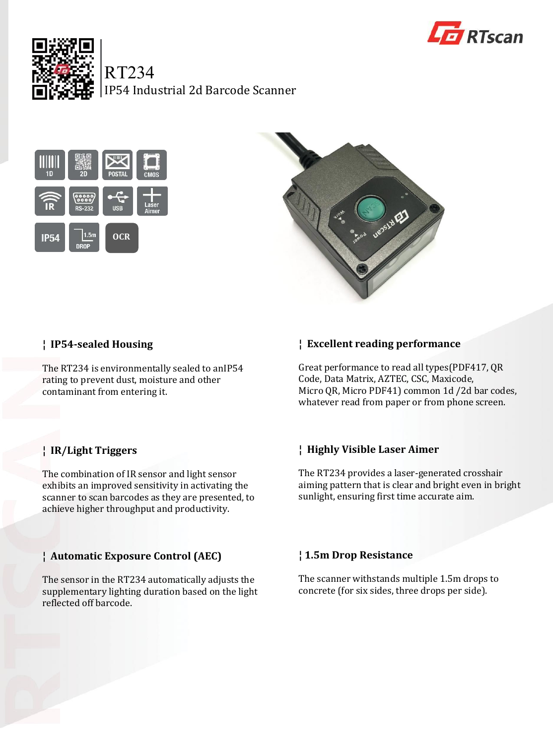



RT234

IP54 Industrial 2d Barcode Scanner





# **¦ IP54-sealed Housing**

The RT234 is environmentally sealed to anIP54 rating to prevent dust, moisture and other contaminant from entering it.

# **¦ IR/Light Triggers**

The combination of IR sensor and light sensor exhibits an improved sensitivity in activating the scanner to scan barcodes as they are presented, to achieve higher throughput and productivity.

# **¦ Automatic Exposure Control (AEC)**

The sensor in the RT234 automatically adjusts the supplementary lighting duration based on the light reflected off barcode.

# **¦ Excellent reading performance**

Great performance to read all types(PDF417, QR Code, Data Matrix, AZTEC, CSC, Maxicode, Micro QR, Micro PDF41) common 1d /2d bar codes, whatever read from paper or from phone screen.

# **¦ Highly Visible Laser Aimer**

The RT234 provides a laser-generated crosshair aiming pattern that is clear and bright even in bright sunlight, ensuring first time accurate aim.

# **¦ 1.5m Drop Resistance**

The scanner withstands multiple 1.5m drops to concrete (for six sides, three drops per side).